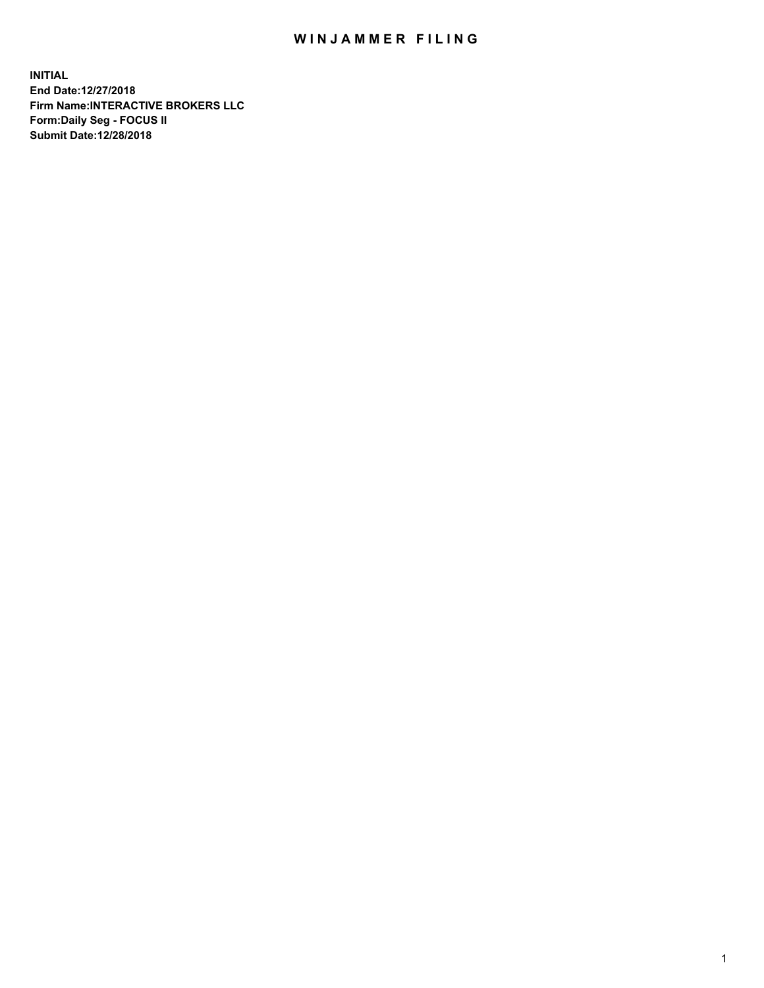## WIN JAMMER FILING

**INITIAL End Date:12/27/2018 Firm Name:INTERACTIVE BROKERS LLC Form:Daily Seg - FOCUS II Submit Date:12/28/2018**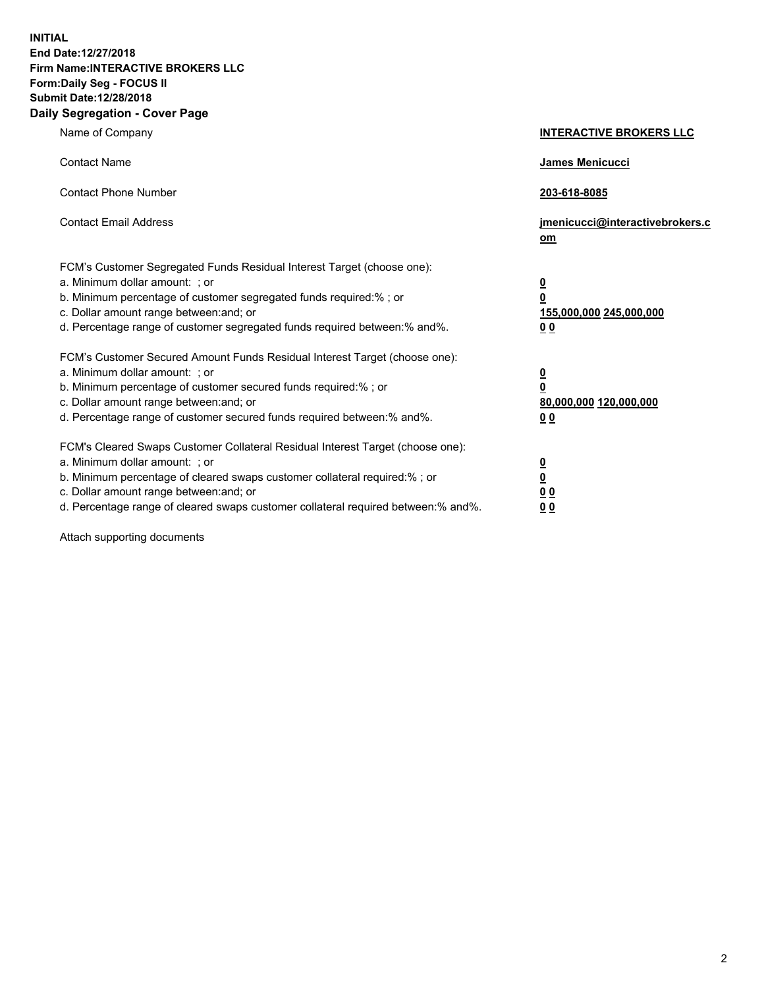**INITIAL End Date:12/27/2018 Firm Name:INTERACTIVE BROKERS LLC Form:Daily Seg - FOCUS II Submit Date:12/28/2018 Daily Segregation - Cover Page**

| Name of Company                                                                                                                                                                                                                                                                                                                | <b>INTERACTIVE BROKERS LLC</b>                                                                  |
|--------------------------------------------------------------------------------------------------------------------------------------------------------------------------------------------------------------------------------------------------------------------------------------------------------------------------------|-------------------------------------------------------------------------------------------------|
| <b>Contact Name</b>                                                                                                                                                                                                                                                                                                            | James Menicucci                                                                                 |
| <b>Contact Phone Number</b>                                                                                                                                                                                                                                                                                                    | 203-618-8085                                                                                    |
| <b>Contact Email Address</b>                                                                                                                                                                                                                                                                                                   | jmenicucci@interactivebrokers.c<br>om                                                           |
| FCM's Customer Segregated Funds Residual Interest Target (choose one):<br>a. Minimum dollar amount: ; or<br>b. Minimum percentage of customer segregated funds required:% ; or<br>c. Dollar amount range between: and; or<br>d. Percentage range of customer segregated funds required between:% and%.                         | $\overline{\mathbf{0}}$<br>$\overline{\mathbf{0}}$<br>155,000,000 245,000,000<br>0 <sub>0</sub> |
| FCM's Customer Secured Amount Funds Residual Interest Target (choose one):<br>a. Minimum dollar amount: ; or<br>b. Minimum percentage of customer secured funds required:%; or<br>c. Dollar amount range between: and; or<br>d. Percentage range of customer secured funds required between:% and%.                            | $\overline{\mathbf{0}}$<br>$\overline{\mathbf{0}}$<br>80,000,000 120,000,000<br>0 <sub>0</sub>  |
| FCM's Cleared Swaps Customer Collateral Residual Interest Target (choose one):<br>a. Minimum dollar amount: ; or<br>b. Minimum percentage of cleared swaps customer collateral required:% ; or<br>c. Dollar amount range between: and; or<br>d. Percentage range of cleared swaps customer collateral required between:% and%. | $\overline{\mathbf{0}}$<br>$\underline{\mathbf{0}}$<br>0 <sub>0</sub><br>0 <sub>0</sub>         |

Attach supporting documents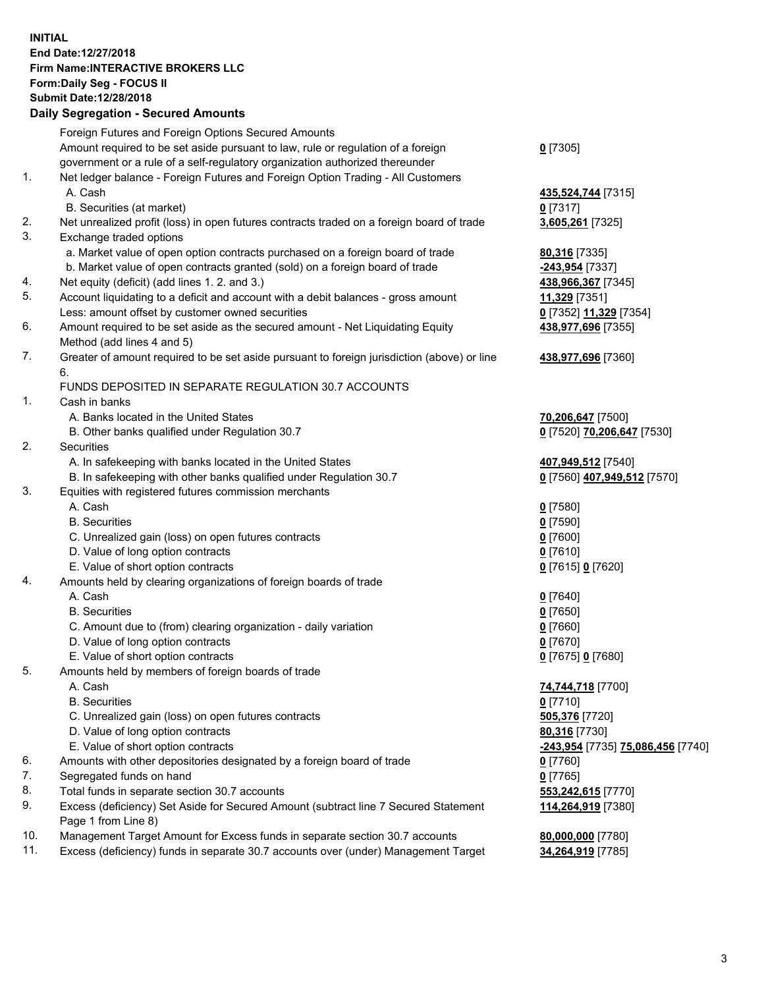## **INITIAL End Date:12/27/2018 Firm Name:INTERACTIVE BROKERS LLC Form:Daily Seg - FOCUS II Submit Date:12/28/2018 Daily Segregation - Secured Amounts**

|          | Daily Segregation - Secured Amounts                                                                                                  |                                   |
|----------|--------------------------------------------------------------------------------------------------------------------------------------|-----------------------------------|
|          | Foreign Futures and Foreign Options Secured Amounts                                                                                  |                                   |
|          | Amount required to be set aside pursuant to law, rule or regulation of a foreign                                                     | $0$ [7305]                        |
|          | government or a rule of a self-regulatory organization authorized thereunder                                                         |                                   |
| 1.       | Net ledger balance - Foreign Futures and Foreign Option Trading - All Customers                                                      |                                   |
|          | A. Cash                                                                                                                              | 435,524,744 [7315]                |
|          | B. Securities (at market)                                                                                                            | $0$ [7317]                        |
| 2.       | Net unrealized profit (loss) in open futures contracts traded on a foreign board of trade                                            | 3,605,261 [7325]                  |
| 3.       | Exchange traded options                                                                                                              |                                   |
|          | a. Market value of open option contracts purchased on a foreign board of trade                                                       | 80,316 [7335]                     |
|          | b. Market value of open contracts granted (sold) on a foreign board of trade                                                         | -243,954 [7337]                   |
| 4.       | Net equity (deficit) (add lines 1. 2. and 3.)                                                                                        | 438,966,367 [7345]                |
| 5.       | Account liquidating to a deficit and account with a debit balances - gross amount                                                    | 11,329 [7351]                     |
|          | Less: amount offset by customer owned securities                                                                                     | 0 [7352] 11,329 [7354]            |
| 6.       | Amount required to be set aside as the secured amount - Net Liquidating Equity                                                       | 438,977,696 [7355]                |
|          | Method (add lines 4 and 5)                                                                                                           |                                   |
| 7.       | Greater of amount required to be set aside pursuant to foreign jurisdiction (above) or line                                          | 438,977,696 [7360]                |
|          | 6.<br>FUNDS DEPOSITED IN SEPARATE REGULATION 30.7 ACCOUNTS                                                                           |                                   |
| 1.       | Cash in banks                                                                                                                        |                                   |
|          | A. Banks located in the United States                                                                                                | 70,206,647 [7500]                 |
|          | B. Other banks qualified under Regulation 30.7                                                                                       | 0 [7520] 70,206,647 [7530]        |
| 2.       | Securities                                                                                                                           |                                   |
|          | A. In safekeeping with banks located in the United States                                                                            | 407,949,512 [7540]                |
|          | B. In safekeeping with other banks qualified under Regulation 30.7                                                                   | 0 [7560] 407,949,512 [7570]       |
| 3.       | Equities with registered futures commission merchants                                                                                |                                   |
|          | A. Cash                                                                                                                              | $0$ [7580]                        |
|          | <b>B.</b> Securities                                                                                                                 | $0$ [7590]                        |
|          | C. Unrealized gain (loss) on open futures contracts                                                                                  | $0$ [7600]                        |
|          | D. Value of long option contracts                                                                                                    | $0$ [7610]                        |
|          | E. Value of short option contracts                                                                                                   | 0 [7615] 0 [7620]                 |
| 4.       | Amounts held by clearing organizations of foreign boards of trade                                                                    |                                   |
|          | A. Cash                                                                                                                              | $0$ [7640]                        |
|          | <b>B.</b> Securities                                                                                                                 | $0$ [7650]                        |
|          | C. Amount due to (from) clearing organization - daily variation                                                                      | $0$ [7660]                        |
|          | D. Value of long option contracts                                                                                                    | $0$ [7670]                        |
|          | E. Value of short option contracts                                                                                                   | 0 [7675] 0 [7680]                 |
| 5.       | Amounts held by members of foreign boards of trade                                                                                   |                                   |
|          | A. Cash                                                                                                                              | 74,744,718 [7700]                 |
|          | <b>B.</b> Securities                                                                                                                 | $0$ [7710]                        |
|          | C. Unrealized gain (loss) on open futures contracts                                                                                  | 505,376 [7720]                    |
|          | D. Value of long option contracts                                                                                                    | 80,316 [7730]                     |
|          | E. Value of short option contracts                                                                                                   | -243,954 [7735] 75,086,456 [7740] |
| 6.       | Amounts with other depositories designated by a foreign board of trade                                                               | 0 [7760]                          |
| 7.<br>8. | Segregated funds on hand                                                                                                             | $0$ [7765]                        |
| 9.       | Total funds in separate section 30.7 accounts<br>Excess (deficiency) Set Aside for Secured Amount (subtract line 7 Secured Statement | 553,242,615 [7770]                |
|          | Page 1 from Line 8)                                                                                                                  | 114,264,919 [7380]                |
| 10.      | Management Target Amount for Excess funds in separate section 30.7 accounts                                                          | 80,000,000 [7780]                 |
| 11.      | Excess (deficiency) funds in separate 30.7 accounts over (under) Management Target                                                   | 34,264,919 [7785]                 |
|          |                                                                                                                                      |                                   |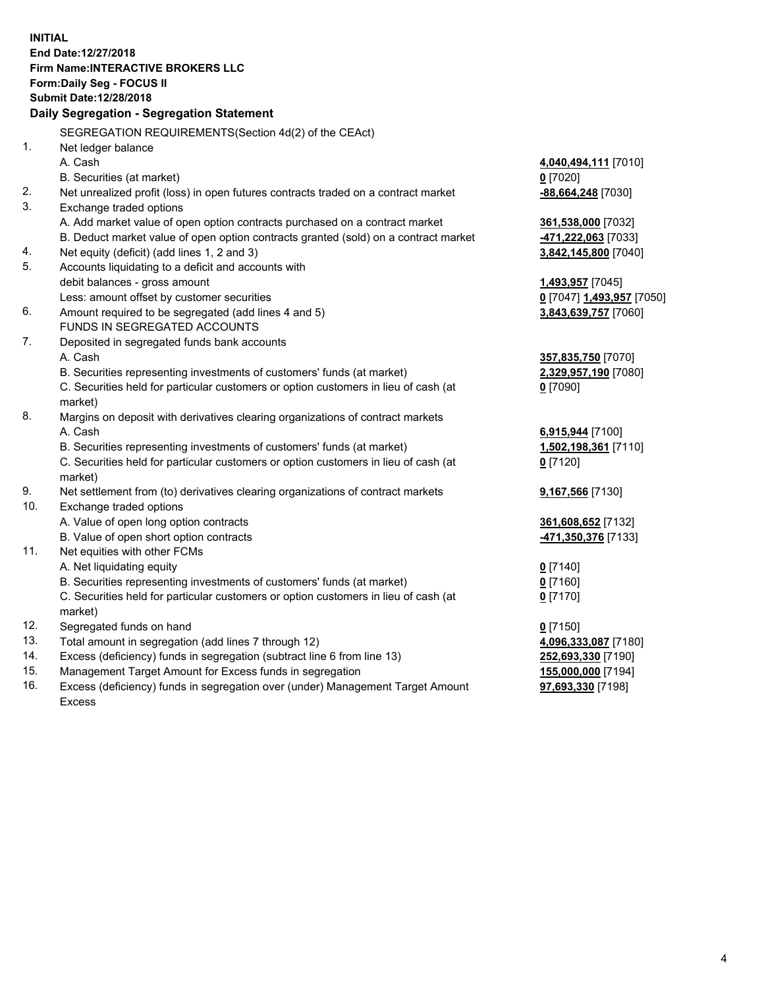**INITIAL End Date:12/27/2018 Firm Name:INTERACTIVE BROKERS LLC Form:Daily Seg - FOCUS II Submit Date:12/28/2018 Daily Segregation - Segregation Statement** SEGREGATION REQUIREMENTS(Section 4d(2) of the CEAct) 1. Net ledger balance A. Cash **4,040,494,111** [7010] B. Securities (at market) **0** [7020] 2. Net unrealized profit (loss) in open futures contracts traded on a contract market **-88,664,248** [7030] 3. Exchange traded options A. Add market value of open option contracts purchased on a contract market **361,538,000** [7032] B. Deduct market value of open option contracts granted (sold) on a contract market **-471,222,063** [7033] 4. Net equity (deficit) (add lines 1, 2 and 3) **3,842,145,800** [7040] 5. Accounts liquidating to a deficit and accounts with debit balances - gross amount **1,493,957** [7045] Less: amount offset by customer securities **0** [7047] **1,493,957** [7050] 6. Amount required to be segregated (add lines 4 and 5) **3,843,639,757** [7060] FUNDS IN SEGREGATED ACCOUNTS 7. Deposited in segregated funds bank accounts A. Cash **357,835,750** [7070] B. Securities representing investments of customers' funds (at market) **2,329,957,190** [7080] C. Securities held for particular customers or option customers in lieu of cash (at market) **0** [7090] 8. Margins on deposit with derivatives clearing organizations of contract markets A. Cash **6,915,944** [7100] B. Securities representing investments of customers' funds (at market) **1,502,198,361** [7110] C. Securities held for particular customers or option customers in lieu of cash (at market) **0** [7120] 9. Net settlement from (to) derivatives clearing organizations of contract markets **9,167,566** [7130] 10. Exchange traded options A. Value of open long option contracts **361,608,652** [7132] B. Value of open short option contracts **-471,350,376** [7133] 11. Net equities with other FCMs A. Net liquidating equity **0** [7140] B. Securities representing investments of customers' funds (at market) **0** [7160] C. Securities held for particular customers or option customers in lieu of cash (at market) **0** [7170] 12. Segregated funds on hand **0** [7150] 13. Total amount in segregation (add lines 7 through 12) **4,096,333,087** [7180] 14. Excess (deficiency) funds in segregation (subtract line 6 from line 13) **252,693,330** [7190] 15. Management Target Amount for Excess funds in segregation **155,000,000** [7194] **97,693,330** [7198]

16. Excess (deficiency) funds in segregation over (under) Management Target Amount Excess